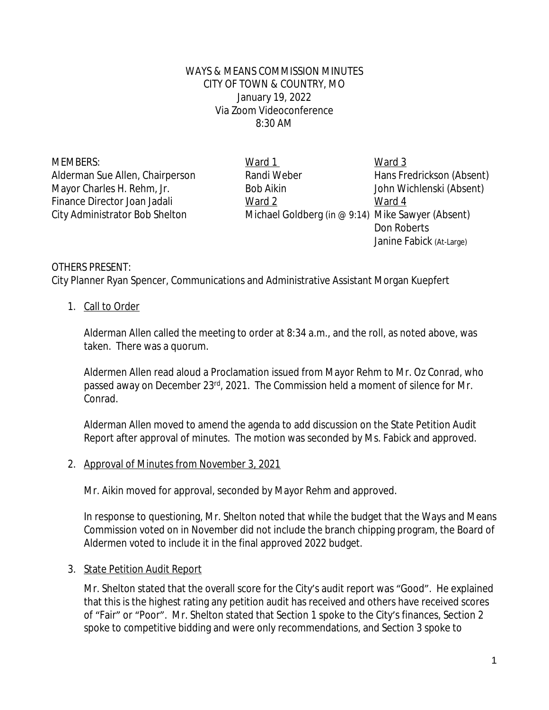WAYS & MEANS COMMISSION MINUTES CITY OF TOWN & COUNTRY, MO January 19, 2022 Via Zoom Videoconference 8:30 AM

MEMBERS: Ward 1 Ward 1 Ward 3 Alderman Sue Allen, Chairperson Randi Weber Hans Fredrickson (Absent) Mayor Charles H. Rehm, Jr. Bob Aikin John Wichlenski (Absent) Finance Director Joan Jadali Ward 2 Ward 2 Ward 4 City Administrator Bob Shelton Michael Goldberg (in  $@9:14)$  Mike Sawyer (Absent) Don Roberts Janine Fabick (At-Large)

## OTHERS PRESENT:

City Planner Ryan Spencer, Communications and Administrative Assistant Morgan Kuepfert

#### 1. Call to Order

Alderman Allen called the meeting to order at 8:34 a.m., and the roll, as noted above, was taken. There was a quorum.

Aldermen Allen read aloud a Proclamation issued from Mayor Rehm to Mr. Oz Conrad, who passed away on December 23rd, 2021. The Commission held a moment of silence for Mr. Conrad.

Alderman Allen moved to amend the agenda to add discussion on the State Petition Audit Report after approval of minutes. The motion was seconded by Ms. Fabick and approved.

#### 2. Approval of Minutes from November 3, 2021

Mr. Aikin moved for approval, seconded by Mayor Rehm and approved.

In response to questioning, Mr. Shelton noted that while the budget that the Ways and Means Commission voted on in November did not include the branch chipping program, the Board of Aldermen voted to include it in the final approved 2022 budget.

#### 3. State Petition Audit Report

Mr. Shelton stated that the overall score for the City's audit report was "Good". He explained that this is the highest rating any petition audit has received and others have received scores of "Fair" or "Poor". Mr. Shelton stated that Section 1 spoke to the City's finances, Section 2 spoke to competitive bidding and were only recommendations, and Section 3 spoke to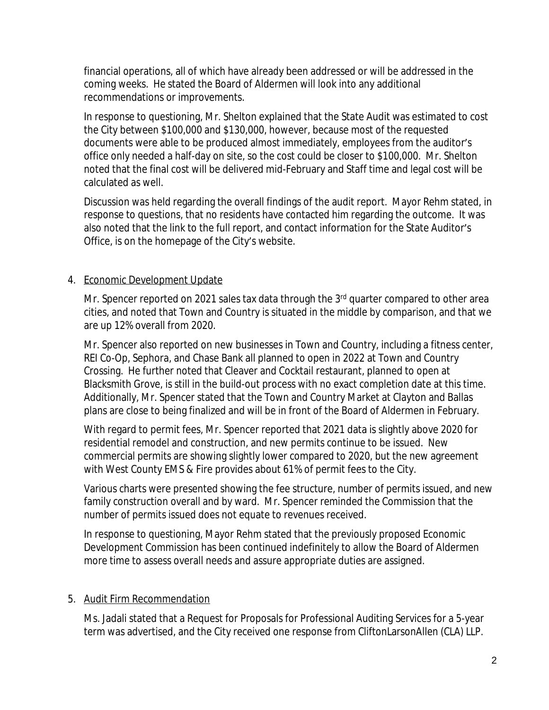financial operations, all of which have already been addressed or will be addressed in the coming weeks. He stated the Board of Aldermen will look into any additional recommendations or improvements.

In response to questioning, Mr. Shelton explained that the State Audit was estimated to cost the City between \$100,000 and \$130,000, however, because most of the requested documents were able to be produced almost immediately, employees from the auditor's office only needed a half-day on site, so the cost could be closer to \$100,000. Mr. Shelton noted that the final cost will be delivered mid-February and Staff time and legal cost will be calculated as well.

Discussion was held regarding the overall findings of the audit report. Mayor Rehm stated, in response to questions, that no residents have contacted him regarding the outcome. It was also noted that the link to the full report, and contact information for the State Auditor's Office, is on the homepage of the City's website.

# 4. Economic Development Update

Mr. Spencer reported on 2021 sales tax data through the 3<sup>rd</sup> quarter compared to other area cities, and noted that Town and Country is situated in the middle by comparison, and that we are up 12% overall from 2020.

Mr. Spencer also reported on new businesses in Town and Country, including a fitness center, REI Co-Op, Sephora, and Chase Bank all planned to open in 2022 at Town and Country Crossing. He further noted that Cleaver and Cocktail restaurant, planned to open at Blacksmith Grove, is still in the build-out process with no exact completion date at this time. Additionally, Mr. Spencer stated that the Town and Country Market at Clayton and Ballas plans are close to being finalized and will be in front of the Board of Aldermen in February.

With regard to permit fees, Mr. Spencer reported that 2021 data is slightly above 2020 for residential remodel and construction, and new permits continue to be issued. New commercial permits are showing slightly lower compared to 2020, but the new agreement with West County EMS & Fire provides about 61% of permit fees to the City.

Various charts were presented showing the fee structure, number of permits issued, and new family construction overall and by ward. Mr. Spencer reminded the Commission that the number of permits issued does not equate to revenues received.

In response to questioning, Mayor Rehm stated that the previously proposed Economic Development Commission has been continued indefinitely to allow the Board of Aldermen more time to assess overall needs and assure appropriate duties are assigned.

# 5. Audit Firm Recommendation

Ms. Jadali stated that a Request for Proposals for Professional Auditing Services for a 5-year term was advertised, and the City received one response from CliftonLarsonAllen (CLA) LLP.